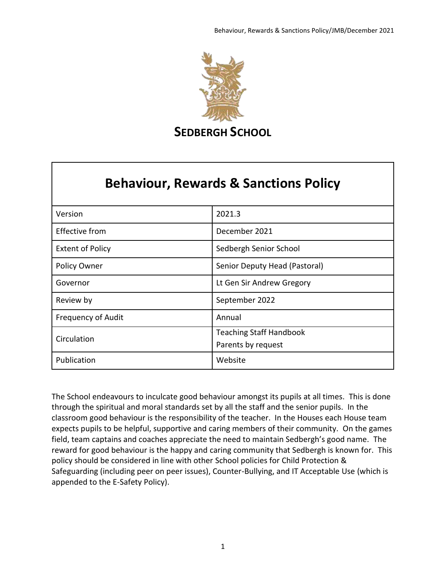

# **Behaviour, Rewards & Sanctions Policy**

| Version                   | 2021.3                                               |
|---------------------------|------------------------------------------------------|
| <b>Effective from</b>     | December 2021                                        |
| <b>Extent of Policy</b>   | Sedbergh Senior School                               |
| Policy Owner              | Senior Deputy Head (Pastoral)                        |
| Governor                  | Lt Gen Sir Andrew Gregory                            |
| Review by                 | September 2022                                       |
| <b>Frequency of Audit</b> | Annual                                               |
| Circulation               | <b>Teaching Staff Handbook</b><br>Parents by request |
| Publication               | Website                                              |

The School endeavours to inculcate good behaviour amongst its pupils at all times. This is done through the spiritual and moral standards set by all the staff and the senior pupils. In the classroom good behaviour is the responsibility of the teacher. In the Houses each House team expects pupils to be helpful, supportive and caring members of their community. On the games field, team captains and coaches appreciate the need to maintain Sedbergh's good name. The reward for good behaviour is the happy and caring community that Sedbergh is known for. This policy should be considered in line with other School policies for Child Protection & Safeguarding (including peer on peer issues), Counter-Bullying, and IT Acceptable Use (which is appended to the E-Safety Policy).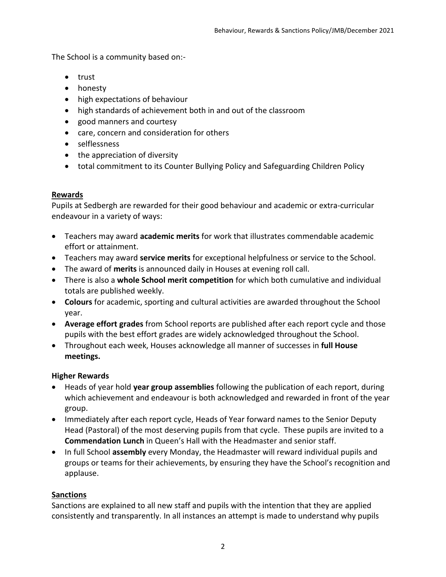The School is a community based on:-

- trust
- honesty
- high expectations of behaviour
- high standards of achievement both in and out of the classroom
- good manners and courtesy
- care, concern and consideration for others
- selflessness
- the appreciation of diversity
- total commitment to its Counter Bullying Policy and Safeguarding Children Policy

#### **Rewards**

Pupils at Sedbergh are rewarded for their good behaviour and academic or extra-curricular endeavour in a variety of ways:

- Teachers may award **academic merits** for work that illustrates commendable academic effort or attainment.
- Teachers may award **service merits** for exceptional helpfulness or service to the School.
- The award of **merits** is announced daily in Houses at evening roll call.
- There is also a **whole School merit competition** for which both cumulative and individual totals are published weekly.
- **Colours** for academic, sporting and cultural activities are awarded throughout the School year.
- **Average effort grades** from School reports are published after each report cycle and those pupils with the best effort grades are widely acknowledged throughout the School.
- Throughout each week, Houses acknowledge all manner of successes in **full House meetings.**

#### **Higher Rewards**

- Heads of year hold **year group assemblies** following the publication of each report, during which achievement and endeavour is both acknowledged and rewarded in front of the year group.
- Immediately after each report cycle, Heads of Year forward names to the Senior Deputy Head (Pastoral) of the most deserving pupils from that cycle. These pupils are invited to a **Commendation Lunch** in Queen's Hall with the Headmaster and senior staff.
- In full School **assembly** every Monday, the Headmaster will reward individual pupils and groups or teams for their achievements, by ensuring they have the School's recognition and applause.

#### **Sanctions**

Sanctions are explained to all new staff and pupils with the intention that they are applied consistently and transparently. In all instances an attempt is made to understand why pupils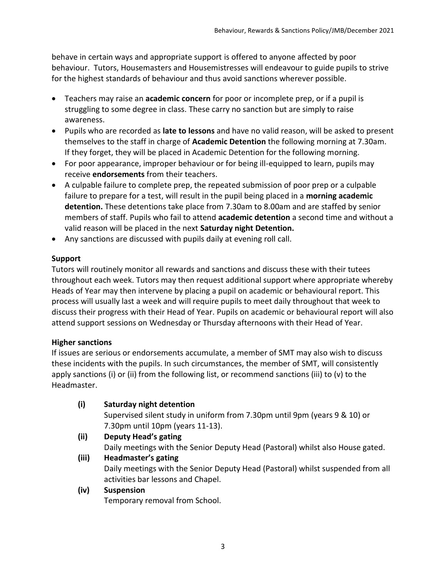behave in certain ways and appropriate support is offered to anyone affected by poor behaviour. Tutors, Housemasters and Housemistresses will endeavour to guide pupils to strive for the highest standards of behaviour and thus avoid sanctions wherever possible.

- Teachers may raise an **academic concern** for poor or incomplete prep, or if a pupil is struggling to some degree in class. These carry no sanction but are simply to raise awareness.
- Pupils who are recorded as **late to lessons** and have no valid reason, will be asked to present themselves to the staff in charge of **Academic Detention** the following morning at 7.30am. If they forget, they will be placed in Academic Detention for the following morning.
- For poor appearance, improper behaviour or for being ill-equipped to learn, pupils may receive **endorsements** from their teachers.
- A culpable failure to complete prep, the repeated submission of poor prep or a culpable failure to prepare for a test, will result in the pupil being placed in a **morning academic detention.** These detentions take place from 7.30am to 8.00am and are staffed by senior members of staff. Pupils who fail to attend **academic detention** a second time and without a valid reason will be placed in the next **Saturday night Detention.**
- Any sanctions are discussed with pupils daily at evening roll call.

# **Support**

Tutors will routinely monitor all rewards and sanctions and discuss these with their tutees throughout each week. Tutors may then request additional support where appropriate whereby Heads of Year may then intervene by placing a pupil on academic or behavioural report. This process will usually last a week and will require pupils to meet daily throughout that week to discuss their progress with their Head of Year. Pupils on academic or behavioural report will also attend support sessions on Wednesday or Thursday afternoons with their Head of Year.

#### **Higher sanctions**

If issues are serious or endorsements accumulate, a member of SMT may also wish to discuss these incidents with the pupils. In such circumstances, the member of SMT, will consistently apply sanctions (i) or (ii) from the following list, or recommend sanctions (iii) to (v) to the Headmaster.

- **(i) Saturday night detention**  Supervised silent study in uniform from 7.30pm until 9pm (years 9 & 10) or 7.30pm until 10pm (years 11-13). **(ii) Deputy Head's gating**
- Daily meetings with the Senior Deputy Head (Pastoral) whilst also House gated. **(iii) Headmaster's gating**  Daily meetings with the Senior Deputy Head (Pastoral) whilst suspended from all activities bar lessons and Chapel.

#### **(iv) Suspension**

Temporary removal from School.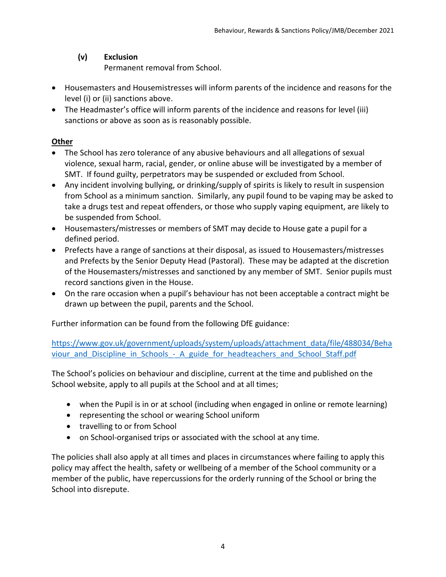# **(v) Exclusion**

Permanent removal from School.

- Housemasters and Housemistresses will inform parents of the incidence and reasons for the level (i) or (ii) sanctions above.
- The Headmaster's office will inform parents of the incidence and reasons for level (iii) sanctions or above as soon as is reasonably possible.

# **Other**

- The School has zero tolerance of any abusive behaviours and all allegations of sexual violence, sexual harm, racial, gender, or online abuse will be investigated by a member of SMT. If found guilty, perpetrators may be suspended or excluded from School.
- Any incident involving bullying, or drinking/supply of spirits is likely to result in suspension from School as a minimum sanction. Similarly, any pupil found to be vaping may be asked to take a drugs test and repeat offenders, or those who supply vaping equipment, are likely to be suspended from School.
- Housemasters/mistresses or members of SMT may decide to House gate a pupil for a defined period.
- Prefects have a range of sanctions at their disposal, as issued to Housemasters/mistresses and Prefects by the Senior Deputy Head (Pastoral). These may be adapted at the discretion of the Housemasters/mistresses and sanctioned by any member of SMT. Senior pupils must record sanctions given in the House.
- On the rare occasion when a pupil's behaviour has not been acceptable a contract might be drawn up between the pupil, parents and the School.

Further information can be found from the following DfE guidance:

[https://www.gov.uk/government/uploads/system/uploads/attachment\\_data/file/488034/Beha](https://www.gov.uk/government/uploads/system/uploads/attachment_data/file/488034/Behaviour_and_Discipline_in_Schools_-_A_guide_for_headteachers_and_School_Staff.pdf) viour and Discipline in Schools - A guide for headteachers and School Staff.pdf

The School's policies on behaviour and discipline, current at the time and published on the School website, apply to all pupils at the School and at all times;

- when the Pupil is in or at school (including when engaged in online or remote learning)
- representing the school or wearing School uniform
- travelling to or from School
- on School-organised trips or associated with the school at any time.

The policies shall also apply at all times and places in circumstances where failing to apply this policy may affect the health, safety or wellbeing of a member of the School community or a member of the public, have repercussions for the orderly running of the School or bring the School into disrepute.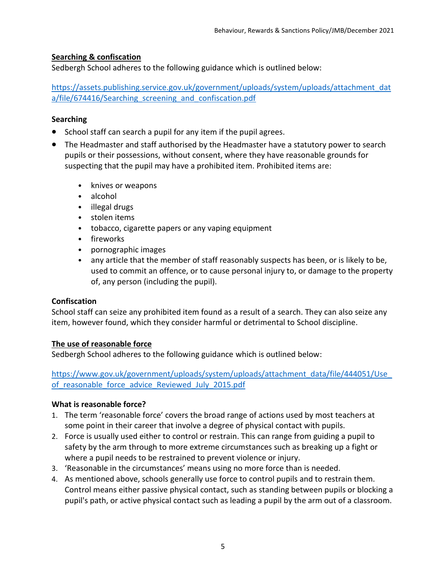# **Searching & confiscation**

Sedbergh School adheres to the following guidance which is outlined below:

[https://assets.publishing.service.gov.uk/government/uploads/system/uploads/attachment\\_dat](https://assets.publishing.service.gov.uk/government/uploads/system/uploads/attachment_data/file/674416/Searching_screening_and_confiscation.pdf) a/file/674416/Searching screening and confiscation.pdf

# **Searching**

- School staff can search a pupil for any item if the pupil agrees.
- The Headmaster and staff authorised by the Headmaster have a statutory power to search pupils or their possessions, without consent, where they have reasonable grounds for suspecting that the pupil may have a prohibited item. Prohibited items are:
	- knives or weapons
	- alcohol
	- illegal drugs
	- stolen items
	- tobacco, cigarette papers or any vaping equipment
	- fireworks
	- pornographic images
	- any article that the member of staff reasonably suspects has been, or is likely to be, used to commit an offence, or to cause personal injury to, or damage to the property of, any person (including the pupil).

#### **Confiscation**

School staff can seize any prohibited item found as a result of a search. They can also seize any item, however found, which they consider harmful or detrimental to School discipline.

#### **The use of reasonable force**

Sedbergh School adheres to the following guidance which is outlined below:

[https://www.gov.uk/government/uploads/system/uploads/attachment\\_data/file/444051/Use\\_](https://www.gov.uk/government/uploads/system/uploads/attachment_data/file/444051/Use_of_reasonable_force_advice_Reviewed_July_2015.pdf) of reasonable force advice Reviewed July 2015.pdf

# **What is reasonable force?**

- 1. The term 'reasonable force' covers the broad range of actions used by most teachers at some point in their career that involve a degree of physical contact with pupils.
- 2. Force is usually used either to control or restrain. This can range from guiding a pupil to safety by the arm through to more extreme circumstances such as breaking up a fight or where a pupil needs to be restrained to prevent violence or injury.
- 3. 'Reasonable in the circumstances' means using no more force than is needed.
- 4. As mentioned above, schools generally use force to control pupils and to restrain them. Control means either passive physical contact, such as standing between pupils or blocking a pupil's path, or active physical contact such as leading a pupil by the arm out of a classroom.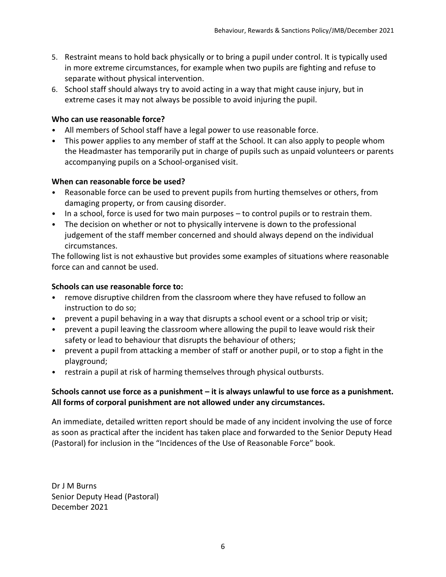- 5. Restraint means to hold back physically or to bring a pupil under control. It is typically used in more extreme circumstances, for example when two pupils are fighting and refuse to separate without physical intervention.
- 6. School staff should always try to avoid acting in a way that might cause injury, but in extreme cases it may not always be possible to avoid injuring the pupil.

#### **Who can use reasonable force?**

- All members of School staff have a legal power to use reasonable force.
- This power applies to any member of staff at the School. It can also apply to people whom the Headmaster has temporarily put in charge of pupils such as unpaid volunteers or parents accompanying pupils on a School-organised visit.

#### **When can reasonable force be used?**

- Reasonable force can be used to prevent pupils from hurting themselves or others, from damaging property, or from causing disorder.
- In a school, force is used for two main purposes to control pupils or to restrain them.
- The decision on whether or not to physically intervene is down to the professional judgement of the staff member concerned and should always depend on the individual circumstances.

The following list is not exhaustive but provides some examples of situations where reasonable force can and cannot be used.

# **Schools can use reasonable force to:**

- remove disruptive children from the classroom where they have refused to follow an instruction to do so;
- prevent a pupil behaving in a way that disrupts a school event or a school trip or visit;
- prevent a pupil leaving the classroom where allowing the pupil to leave would risk their safety or lead to behaviour that disrupts the behaviour of others;
- prevent a pupil from attacking a member of staff or another pupil, or to stop a fight in the playground;
- restrain a pupil at risk of harming themselves through physical outbursts.

# **Schools cannot use force as a punishment – it is always unlawful to use force as a punishment. All forms of corporal punishment are not allowed under any circumstances.**

An immediate, detailed written report should be made of any incident involving the use of force as soon as practical after the incident has taken place and forwarded to the Senior Deputy Head (Pastoral) for inclusion in the "Incidences of the Use of Reasonable Force" book.

Dr J M Burns Senior Deputy Head (Pastoral) December 2021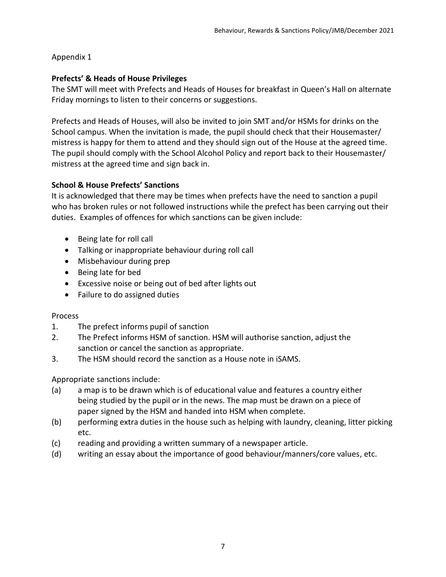#### Appendix 1

#### **Prefects' & Heads of House Privileges**

The SMT will meet with Prefects and Heads of Houses for breakfast in Queen's Hall on alternate Friday mornings to listen to their concerns or suggestions.

Prefects and Heads of Houses, will also be invited to join SMT and/or HSMs for drinks on the School campus. When the invitation is made, the pupil should check that their Housemaster/ mistress is happy for them to attend and they should sign out of the House at the agreed time. The pupil should comply with the School Alcohol Policy and report back to their Housemaster/ mistress at the agreed time and sign back in.

#### **School & House Prefects' Sanctions**

It is acknowledged that there may be times when prefects have the need to sanction a pupil who has broken rules or not followed instructions while the prefect has been carrying out their duties. Examples of offences for which sanctions can be given include:

- Being late for roll call
- Talking or inappropriate behaviour during roll call
- Misbehaviour during prep
- Being late for bed
- Excessive noise or being out of bed after lights out
- Failure to do assigned duties

#### Process

- 1. The prefect informs pupil of sanction
- 2. The Prefect informs HSM of sanction. HSM will authorise sanction, adjust the sanction or cancel the sanction as appropriate.
- 3. The HSM should record the sanction as a House note in iSAMS.

Appropriate sanctions include:

- (a) a map is to be drawn which is of educational value and features a country either being studied by the pupil or in the news. The map must be drawn on a piece of paper signed by the HSM and handed into HSM when complete.
- (b) performing extra duties in the house such as helping with laundry, cleaning, litter picking etc.
- (c) reading and providing a written summary of a newspaper article.
- (d) writing an essay about the importance of good behaviour/manners/core values, etc.